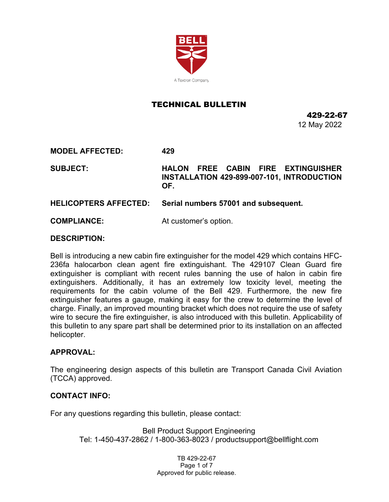

# TECHNICAL BULLETIN

429-22-67 12 May 2022

**MODEL AFFECTED: 429**

**SUBJECT: HALON FREE CABIN FIRE EXTINGUISHER INSTALLATION 429-899-007-101, INTRODUCTION OF.**

**HELICOPTERS AFFECTED: Serial numbers 57001 and subsequent.**

**COMPLIANCE:** At customer's option.

#### **DESCRIPTION:**

Bell is introducing a new cabin fire extinguisher for the model 429 which contains HFC-236fa halocarbon clean agent fire extinguishant. The 429107 Clean Guard fire extinguisher is compliant with recent rules banning the use of halon in cabin fire extinguishers. Additionally, it has an extremely low toxicity level, meeting the requirements for the cabin volume of the Bell 429. Furthermore, the new fire extinguisher features a gauge, making it easy for the crew to determine the level of charge. Finally, an improved mounting bracket which does not require the use of safety wire to secure the fire extinguisher, is also introduced with this bulletin. Applicability of this bulletin to any spare part shall be determined prior to its installation on an affected helicopter.

## **APPROVAL:**

The engineering design aspects of this bulletin are Transport Canada Civil Aviation (TCCA) approved.

## **CONTACT INFO:**

For any questions regarding this bulletin, please contact:

Bell Product Support Engineering Tel: 1-450-437-2862 / 1-800-363-8023 / productsupport@bellflight.com

> TB 429-22-67 Page 1 of 7 Approved for public release.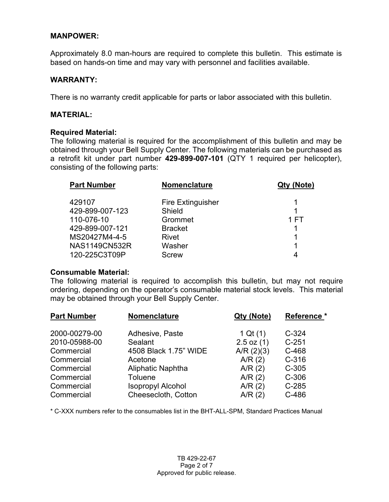## **MANPOWER:**

Approximately 8.0 man-hours are required to complete this bulletin. This estimate is based on hands-on time and may vary with personnel and facilities available.

## **WARRANTY:**

There is no warranty credit applicable for parts or labor associated with this bulletin.

## **MATERIAL:**

#### **Required Material:**

The following material is required for the accomplishment of this bulletin and may be obtained through your Bell Supply Center. The following materials can be purchased as a retrofit kit under part number **429-899-007-101** (QTY 1 required per helicopter), consisting of the following parts:

| <b>Part Number</b>   | <b>Nomenclature</b>      | Qty (Note) |
|----------------------|--------------------------|------------|
| 429107               | <b>Fire Extinguisher</b> |            |
| 429-899-007-123      | Shield                   |            |
| 110-076-10           | Grommet                  | 1 FT       |
| 429-899-007-121      | <b>Bracket</b>           |            |
| MS20427M4-4-5        | Rivet                    |            |
| <b>NAS1149CN532R</b> | Washer                   | 1          |
| 120-225C3T09P        | Screw                    |            |

#### **Consumable Material:**

The following material is required to accomplish this bulletin, but may not require ordering, depending on the operator's consumable material stock levels. This material may be obtained through your Bell Supply Center.

| Nomenclature             | Qty (Note)     | Reference * |  |
|--------------------------|----------------|-------------|--|
| Adhesive, Paste          | 1 Qt $(1)$     | $C-324$     |  |
| Sealant                  | $2.5$ oz $(1)$ | $C-251$     |  |
| 4508 Black 1.75" WIDE    | $A/R$ (2)(3)   | C-468       |  |
| Acetone                  | A/R(2)         | $C-316$     |  |
| Aliphatic Naphtha        | A/R(2)         | $C-305$     |  |
| Toluene                  | A/R(2)         | $C-306$     |  |
| <b>Isopropyl Alcohol</b> | A/R(2)         | $C-285$     |  |
| Cheesecloth, Cotton      | A/R(2)         | C-486       |  |
|                          |                |             |  |

\* C-XXX numbers refer to the consumables list in the BHT-ALL-SPM, Standard Practices Manual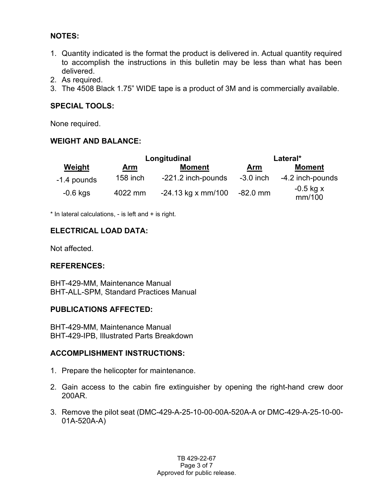# **NOTES:**

- 1. Quantity indicated is the format the product is delivered in. Actual quantity required to accomplish the instructions in this bulletin may be less than what has been delivered.
- 2. As required.
- 3. The 4508 Black 1.75" WIDE tape is a product of 3M and is commercially available.

# **SPECIAL TOOLS:**

None required.

# **WEIGHT AND BALANCE:**

| Weight      | Longitudinal |                      | Lateral*    |                       |
|-------------|--------------|----------------------|-------------|-----------------------|
|             | Arm          | <b>Moment</b>        | Arm         | <b>Moment</b>         |
| -1.4 pounds | $158$ inch   | -221.2 inch-pounds   | $-3.0$ inch | -4.2 inch-pounds      |
| $-0.6$ kgs  | 4022 mm      | $-24.13$ kg x mm/100 | -82.0 mm    | $-0.5$ kg x<br>mm/100 |

\* In lateral calculations, - is left and + is right.

## **ELECTRICAL LOAD DATA:**

Not affected.

# **REFERENCES:**

BHT-429-MM, Maintenance Manual BHT-ALL-SPM, Standard Practices Manual

## **PUBLICATIONS AFFECTED:**

BHT-429-MM, Maintenance Manual BHT-429-IPB, Illustrated Parts Breakdown

# **ACCOMPLISHMENT INSTRUCTIONS:**

- 1. Prepare the helicopter for maintenance.
- 2. Gain access to the cabin fire extinguisher by opening the right-hand crew door 200AR.
- 3. Remove the pilot seat (DMC-429-A-25-10-00-00A-520A-A or DMC-429-A-25-10-00- 01A-520A-A)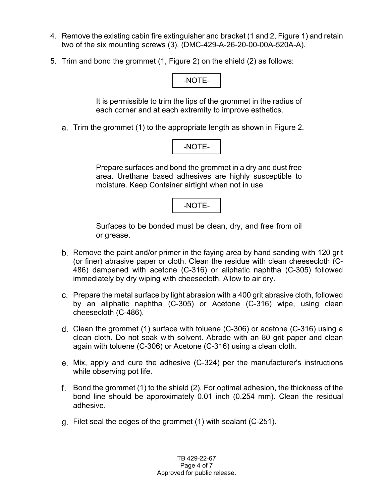- 4. Remove the existing cabin fire extinguisher and bracket (1 and 2, Figure 1) and retain two of the six mounting screws (3). (DMC-429-A-26-20-00-00A-520A-A).
- 5. Trim and bond the grommet (1, Figure 2) on the shield (2) as follows:

# -NOTE-

It is permissible to trim the lips of the grommet in the radius of each corner and at each extremity to improve esthetics.

Trim the grommet (1) to the appropriate length as shown in Figure 2.

Prepare surfaces and bond the grommet in a dry and dust free area. Urethane based adhesives are highly susceptible to moisture. Keep Container airtight when not in use

-NOTE-

Surfaces to be bonded must be clean, dry, and free from oil or grease.

- b. Remove the paint and/or primer in the faying area by hand sanding with 120 grit (or finer) abrasive paper or cloth. Clean the residue with clean cheesecloth (C-486) dampened with acetone (C-316) or aliphatic naphtha (C-305) followed immediately by dry wiping with cheesecloth. Allow to air dry.
- Prepare the metal surface by light abrasion with a 400 grit abrasive cloth, followed by an aliphatic naphtha (C-305) or Acetone (C-316) wipe, using clean cheesecloth (C-486).
- Clean the grommet (1) surface with toluene (C-306) or acetone (C-316) using a clean cloth. Do not soak with solvent. Abrade with an 80 grit paper and clean again with toluene (C-306) or Acetone (C-316) using a clean cloth.
- Mix, apply and cure the adhesive (C-324) per the manufacturer's instructions while observing pot life.
- f. Bond the grommet (1) to the shield (2). For optimal adhesion, the thickness of the bond line should be approximately 0.01 inch (0.254 mm). Clean the residual adhesive.
- Filet seal the edges of the grommet (1) with sealant (C-251).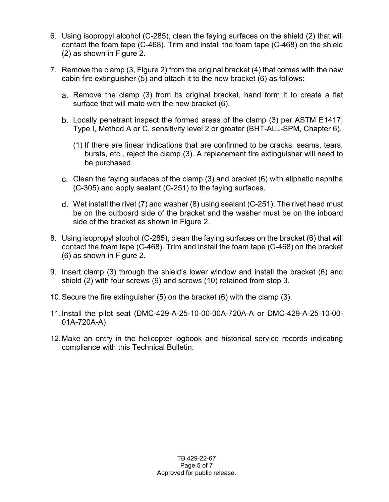- 6. Using isopropyl alcohol (C-285), clean the faying surfaces on the shield (2) that will contact the foam tape (C-468). Trim and install the foam tape (C-468) on the shield (2) as shown in Figure 2.
- 7. Remove the clamp (3, Figure 2) from the original bracket (4) that comes with the new cabin fire extinguisher (5) and attach it to the new bracket (6) as follows:
	- Remove the clamp (3) from its original bracket, hand form it to create a flat surface that will mate with the new bracket (6).
	- Locally penetrant inspect the formed areas of the clamp (3) per ASTM E1417, Type I, Method A or C, sensitivity level 2 or greater (BHT-ALL-SPM, Chapter 6).
		- (1) If there are linear indications that are confirmed to be cracks, seams, tears, bursts, etc., reject the clamp (3). A replacement fire extinguisher will need to be purchased.
	- Clean the faying surfaces of the clamp (3) and bracket (6) with aliphatic naphtha (C-305) and apply sealant (C-251) to the faying surfaces.
	- Wet install the rivet (7) and washer (8) using sealant (C-251). The rivet head must be on the outboard side of the bracket and the washer must be on the inboard side of the bracket as shown in Figure 2.
- 8. Using isopropyl alcohol (C-285), clean the faying surfaces on the bracket (6) that will contact the foam tape (C-468). Trim and install the foam tape (C-468) on the bracket (6) as shown in Figure 2.
- 9. Insert clamp (3) through the shield's lower window and install the bracket (6) and shield (2) with four screws (9) and screws (10) retained from step 3.
- 10.Secure the fire extinguisher (5) on the bracket (6) with the clamp (3).
- 11.Install the pilot seat (DMC-429-A-25-10-00-00A-720A-A or DMC-429-A-25-10-00- 01A-720A-A)
- 12.Make an entry in the helicopter logbook and historical service records indicating compliance with this Technical Bulletin.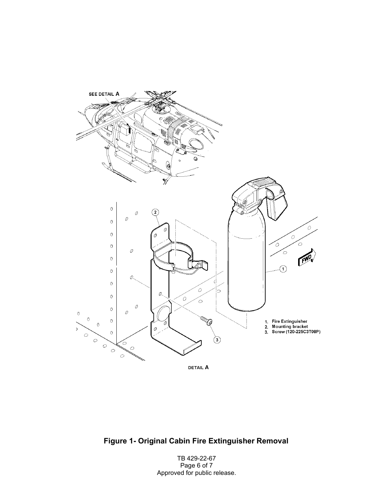

**Figure 1- Original Cabin Fire Extinguisher Removal**

TB 429-22-67 Page 6 of 7 Approved for public release.